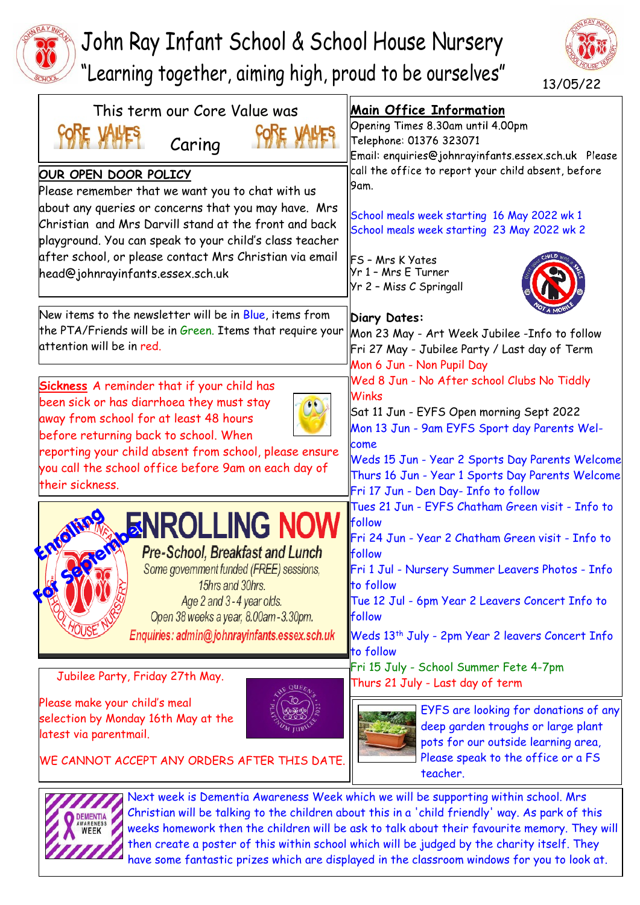

WE CANNOT ACCEPT ANY ORDERS AFTER THIS DATE.



Please speak to the office or a FS teacher.